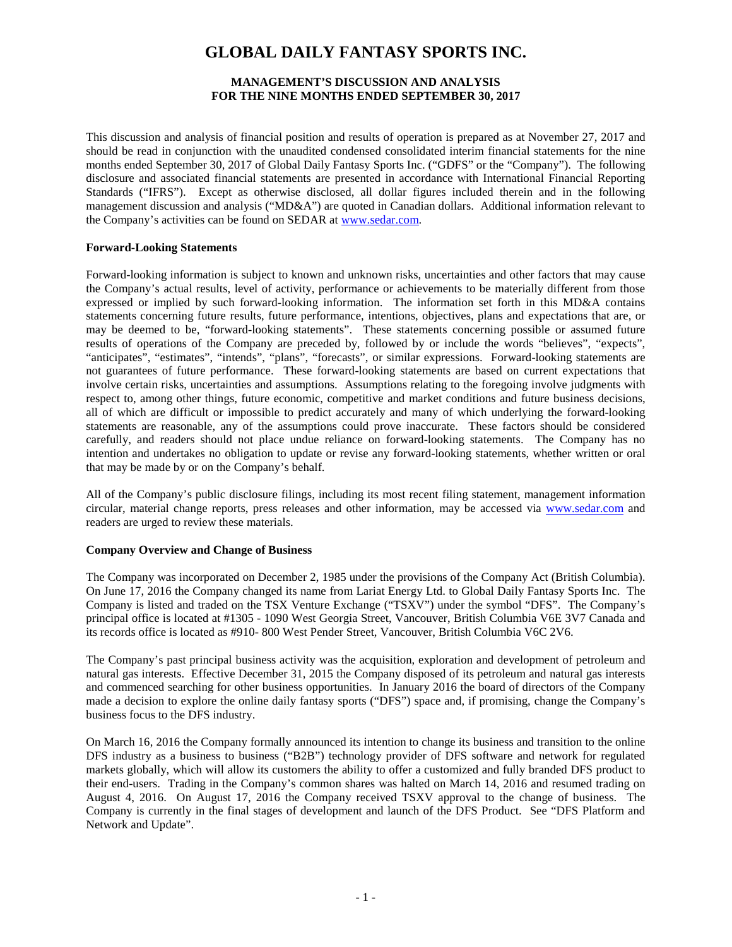# **GLOBAL DAILY FANTASY SPORTS INC.**

## **MANAGEMENT'S DISCUSSION AND ANALYSIS FOR THE NINE MONTHS ENDED SEPTEMBER 30, 2017**

This discussion and analysis of financial position and results of operation is prepared as at November 27, 2017 and should be read in conjunction with the unaudited condensed consolidated interim financial statements for the nine months ended September 30, 2017 of Global Daily Fantasy Sports Inc. ("GDFS" or the "Company"). The following disclosure and associated financial statements are presented in accordance with International Financial Reporting Standards ("IFRS"). Except as otherwise disclosed, all dollar figures included therein and in the following management discussion and analysis ("MD&A") are quoted in Canadian dollars. Additional information relevant to the Company's activities can be found on SEDAR at www.sedar.com.

## **Forward-Looking Statements**

Forward-looking information is subject to known and unknown risks, uncertainties and other factors that may cause the Company's actual results, level of activity, performance or achievements to be materially different from those expressed or implied by such forward-looking information. The information set forth in this MD&A contains statements concerning future results, future performance, intentions, objectives, plans and expectations that are, or may be deemed to be, "forward-looking statements". These statements concerning possible or assumed future results of operations of the Company are preceded by, followed by or include the words "believes", "expects", "anticipates", "estimates", "intends", "plans", "forecasts", or similar expressions. Forward-looking statements are not guarantees of future performance. These forward-looking statements are based on current expectations that involve certain risks, uncertainties and assumptions. Assumptions relating to the foregoing involve judgments with respect to, among other things, future economic, competitive and market conditions and future business decisions, all of which are difficult or impossible to predict accurately and many of which underlying the forward-looking statements are reasonable, any of the assumptions could prove inaccurate. These factors should be considered carefully, and readers should not place undue reliance on forward-looking statements. The Company has no intention and undertakes no obligation to update or revise any forward-looking statements, whether written or oral that may be made by or on the Company's behalf.

All of the Company's public disclosure filings, including its most recent filing statement, management information circular, material change reports, press releases and other information, may be accessed via [www.sedar.com](http://www.sedar.com/) and readers are urged to review these materials.

## **Company Overview and Change of Business**

The Company was incorporated on December 2, 1985 under the provisions of the Company Act (British Columbia). On June 17, 2016 the Company changed its name from Lariat Energy Ltd. to Global Daily Fantasy Sports Inc. The Company is listed and traded on the TSX Venture Exchange ("TSXV") under the symbol "DFS". The Company's principal office is located at #1305 - 1090 West Georgia Street, Vancouver, British Columbia V6E 3V7 Canada and its records office is located as #910- 800 West Pender Street, Vancouver, British Columbia V6C 2V6.

The Company's past principal business activity was the acquisition, exploration and development of petroleum and natural gas interests. Effective December 31, 2015 the Company disposed of its petroleum and natural gas interests and commenced searching for other business opportunities. In January 2016 the board of directors of the Company made a decision to explore the online daily fantasy sports ("DFS") space and, if promising, change the Company's business focus to the DFS industry.

On March 16, 2016 the Company formally announced its intention to change its business and transition to the online DFS industry as a business to business ("B2B") technology provider of DFS software and network for regulated markets globally, which will allow its customers the ability to offer a customized and fully branded DFS product to their end-users. Trading in the Company's common shares was halted on March 14, 2016 and resumed trading on August 4, 2016. On August 17, 2016 the Company received TSXV approval to the change of business. The Company is currently in the final stages of development and launch of the DFS Product. See "DFS Platform and Network and Update".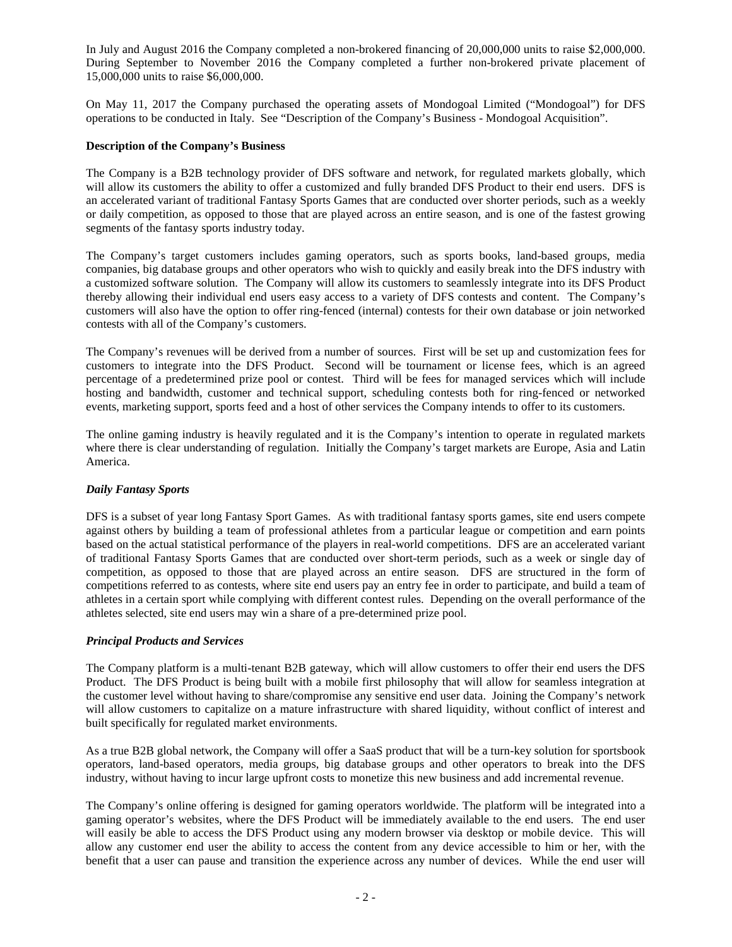In July and August 2016 the Company completed a non-brokered financing of 20,000,000 units to raise \$2,000,000. During September to November 2016 the Company completed a further non-brokered private placement of 15,000,000 units to raise \$6,000,000.

On May 11, 2017 the Company purchased the operating assets of Mondogoal Limited ("Mondogoal") for DFS operations to be conducted in Italy. See "Description of the Company's Business - Mondogoal Acquisition".

#### **Description of the Company's Business**

The Company is a B2B technology provider of DFS software and network, for regulated markets globally, which will allow its customers the ability to offer a customized and fully branded DFS Product to their end users. DFS is an accelerated variant of traditional Fantasy Sports Games that are conducted over shorter periods, such as a weekly or daily competition, as opposed to those that are played across an entire season, and is one of the fastest growing segments of the fantasy sports industry today.

The Company's target customers includes gaming operators, such as sports books, land-based groups, media companies, big database groups and other operators who wish to quickly and easily break into the DFS industry with a customized software solution. The Company will allow its customers to seamlessly integrate into its DFS Product thereby allowing their individual end users easy access to a variety of DFS contests and content. The Company's customers will also have the option to offer ring-fenced (internal) contests for their own database or join networked contests with all of the Company's customers.

The Company's revenues will be derived from a number of sources. First will be set up and customization fees for customers to integrate into the DFS Product. Second will be tournament or license fees, which is an agreed percentage of a predetermined prize pool or contest. Third will be fees for managed services which will include hosting and bandwidth, customer and technical support, scheduling contests both for ring-fenced or networked events, marketing support, sports feed and a host of other services the Company intends to offer to its customers.

The online gaming industry is heavily regulated and it is the Company's intention to operate in regulated markets where there is clear understanding of regulation. Initially the Company's target markets are Europe, Asia and Latin America.

## *Daily Fantasy Sports*

DFS is a subset of year long Fantasy Sport Games. As with traditional fantasy sports games, site end users compete against others by building a team of professional athletes from a particular league or competition and earn points based on the actual statistical performance of the players in real-world competitions. DFS are an accelerated variant of traditional Fantasy Sports Games that are conducted over short-term periods, such as a week or single day of competition, as opposed to those that are played across an entire season. DFS are structured in the form of competitions referred to as contests, where site end users pay an entry fee in order to participate, and build a team of athletes in a certain sport while complying with different contest rules. Depending on the overall performance of the athletes selected, site end users may win a share of a pre-determined prize pool.

#### *Principal Products and Services*

The Company platform is a multi-tenant B2B gateway, which will allow customers to offer their end users the DFS Product. The DFS Product is being built with a mobile first philosophy that will allow for seamless integration at the customer level without having to share/compromise any sensitive end user data. Joining the Company's network will allow customers to capitalize on a mature infrastructure with shared liquidity, without conflict of interest and built specifically for regulated market environments.

As a true B2B global network, the Company will offer a SaaS product that will be a turn-key solution for sportsbook operators, land-based operators, media groups, big database groups and other operators to break into the DFS industry, without having to incur large upfront costs to monetize this new business and add incremental revenue.

The Company's online offering is designed for gaming operators worldwide. The platform will be integrated into a gaming operator's websites, where the DFS Product will be immediately available to the end users. The end user will easily be able to access the DFS Product using any modern browser via desktop or mobile device. This will allow any customer end user the ability to access the content from any device accessible to him or her, with the benefit that a user can pause and transition the experience across any number of devices. While the end user will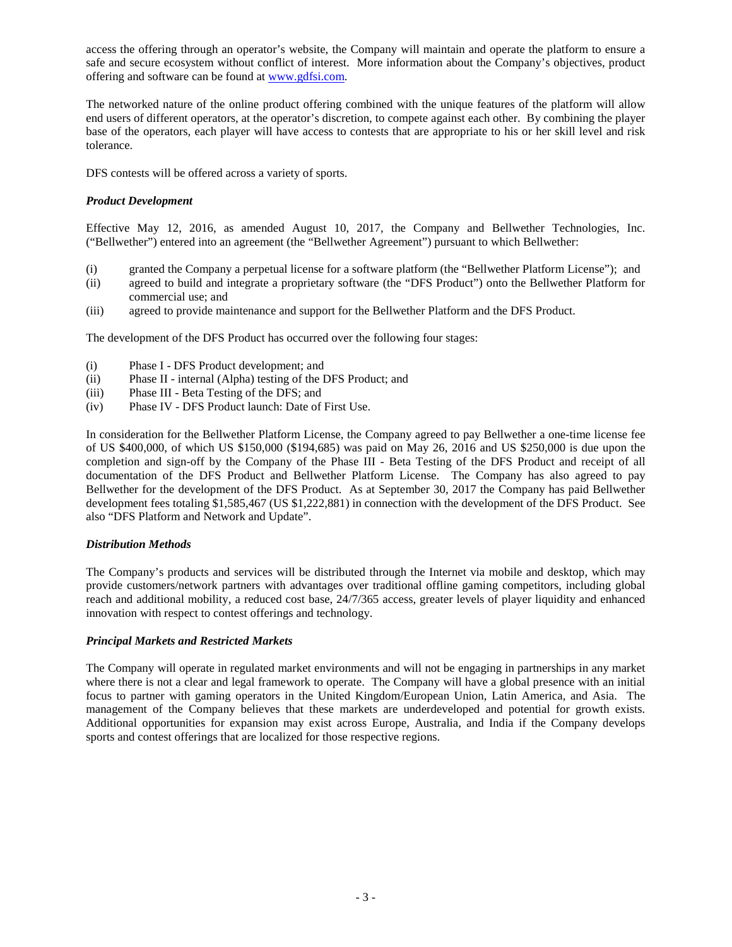access the offering through an operator's website, the Company will maintain and operate the platform to ensure a safe and secure ecosystem without conflict of interest. More information about the Company's objectives, product offering and software can be found at [www.gdfsi.com.](http://www.gdfsi.com/)

The networked nature of the online product offering combined with the unique features of the platform will allow end users of different operators, at the operator's discretion, to compete against each other. By combining the player base of the operators, each player will have access to contests that are appropriate to his or her skill level and risk tolerance.

DFS contests will be offered across a variety of sports.

## *Product Development*

Effective May 12, 2016, as amended August 10, 2017, the Company and Bellwether Technologies, Inc. ("Bellwether") entered into an agreement (the "Bellwether Agreement") pursuant to which Bellwether:

- (i) granted the Company a perpetual license for a software platform (the "Bellwether Platform License"); and
- (ii) agreed to build and integrate a proprietary software (the "DFS Product") onto the Bellwether Platform for commercial use; and
- (iii) agreed to provide maintenance and support for the Bellwether Platform and the DFS Product.

The development of the DFS Product has occurred over the following four stages:

- (i) Phase I DFS Product development; and
- (ii) Phase II internal (Alpha) testing of the DFS Product; and
- (iii) Phase III Beta Testing of the DFS; and
- (iv) Phase IV DFS Product launch: Date of First Use.

In consideration for the Bellwether Platform License, the Company agreed to pay Bellwether a one-time license fee of US \$400,000, of which US \$150,000 (\$194,685) was paid on May 26, 2016 and US \$250,000 is due upon the completion and sign-off by the Company of the Phase III - Beta Testing of the DFS Product and receipt of all documentation of the DFS Product and Bellwether Platform License. The Company has also agreed to pay Bellwether for the development of the DFS Product. As at September 30, 2017 the Company has paid Bellwether development fees totaling \$1,585,467 (US \$1,222,881) in connection with the development of the DFS Product. See also "DFS Platform and Network and Update".

## *Distribution Methods*

The Company's products and services will be distributed through the Internet via mobile and desktop, which may provide customers/network partners with advantages over traditional offline gaming competitors, including global reach and additional mobility, a reduced cost base, 24/7/365 access, greater levels of player liquidity and enhanced innovation with respect to contest offerings and technology.

## *Principal Markets and Restricted Markets*

The Company will operate in regulated market environments and will not be engaging in partnerships in any market where there is not a clear and legal framework to operate. The Company will have a global presence with an initial focus to partner with gaming operators in the United Kingdom/European Union, Latin America, and Asia. The management of the Company believes that these markets are underdeveloped and potential for growth exists. Additional opportunities for expansion may exist across Europe, Australia, and India if the Company develops sports and contest offerings that are localized for those respective regions.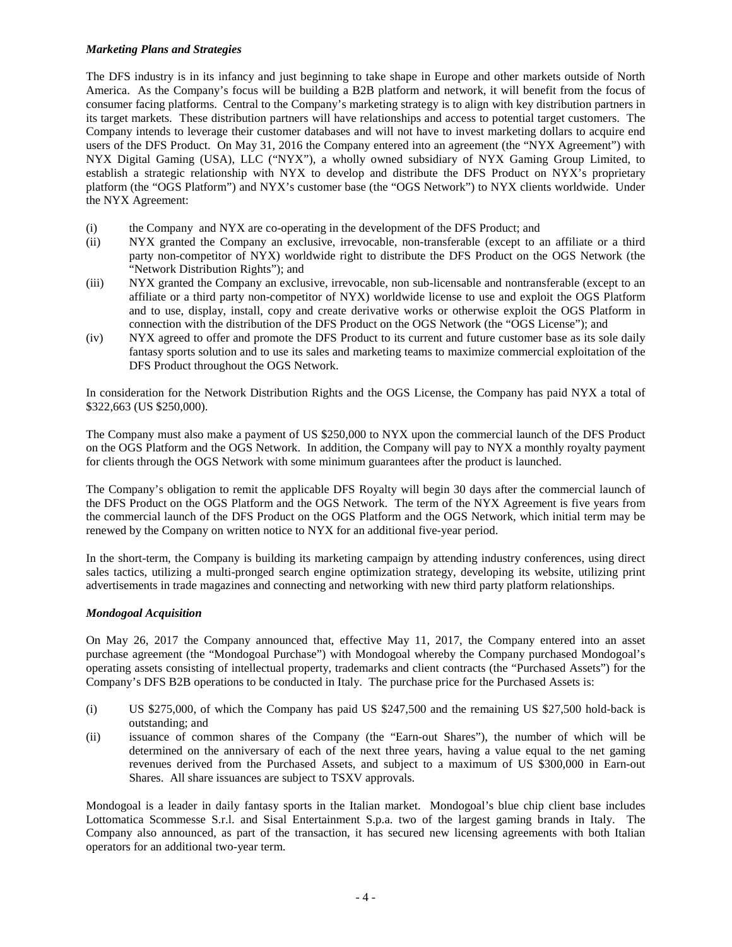## *Marketing Plans and Strategies*

The DFS industry is in its infancy and just beginning to take shape in Europe and other markets outside of North America. As the Company's focus will be building a B2B platform and network, it will benefit from the focus of consumer facing platforms. Central to the Company's marketing strategy is to align with key distribution partners in its target markets. These distribution partners will have relationships and access to potential target customers. The Company intends to leverage their customer databases and will not have to invest marketing dollars to acquire end users of the DFS Product. On May 31, 2016 the Company entered into an agreement (the "NYX Agreement") with NYX Digital Gaming (USA), LLC ("NYX"), a wholly owned subsidiary of NYX Gaming Group Limited, to establish a strategic relationship with NYX to develop and distribute the DFS Product on NYX's proprietary platform (the "OGS Platform") and NYX's customer base (the "OGS Network") to NYX clients worldwide. Under the NYX Agreement:

- (i) the Company and NYX are co-operating in the development of the DFS Product; and
- (ii) NYX granted the Company an exclusive, irrevocable, non-transferable (except to an affiliate or a third party non-competitor of NYX) worldwide right to distribute the DFS Product on the OGS Network (the "Network Distribution Rights"); and
- (iii) NYX granted the Company an exclusive, irrevocable, non sub-licensable and nontransferable (except to an affiliate or a third party non-competitor of NYX) worldwide license to use and exploit the OGS Platform and to use, display, install, copy and create derivative works or otherwise exploit the OGS Platform in connection with the distribution of the DFS Product on the OGS Network (the "OGS License"); and
- (iv) NYX agreed to offer and promote the DFS Product to its current and future customer base as its sole daily fantasy sports solution and to use its sales and marketing teams to maximize commercial exploitation of the DFS Product throughout the OGS Network.

In consideration for the Network Distribution Rights and the OGS License, the Company has paid NYX a total of \$322,663 (US \$250,000).

The Company must also make a payment of US \$250,000 to NYX upon the commercial launch of the DFS Product on the OGS Platform and the OGS Network. In addition, the Company will pay to NYX a monthly royalty payment for clients through the OGS Network with some minimum guarantees after the product is launched.

The Company's obligation to remit the applicable DFS Royalty will begin 30 days after the commercial launch of the DFS Product on the OGS Platform and the OGS Network. The term of the NYX Agreement is five years from the commercial launch of the DFS Product on the OGS Platform and the OGS Network, which initial term may be renewed by the Company on written notice to NYX for an additional five-year period.

In the short-term, the Company is building its marketing campaign by attending industry conferences, using direct sales tactics, utilizing a multi-pronged search engine optimization strategy, developing its website, utilizing print advertisements in trade magazines and connecting and networking with new third party platform relationships.

## *Mondogoal Acquisition*

On May 26, 2017 the Company announced that, effective May 11, 2017, the Company entered into an asset purchase agreement (the "Mondogoal Purchase") with Mondogoal whereby the Company purchased Mondogoal's operating assets consisting of intellectual property, trademarks and client contracts (the "Purchased Assets") for the Company's DFS B2B operations to be conducted in Italy. The purchase price for the Purchased Assets is:

- (i) US \$275,000, of which the Company has paid US \$247,500 and the remaining US \$27,500 hold-back is outstanding; and
- (ii) issuance of common shares of the Company (the "Earn-out Shares"), the number of which will be determined on the anniversary of each of the next three years, having a value equal to the net gaming revenues derived from the Purchased Assets, and subject to a maximum of US \$300,000 in Earn-out Shares. All share issuances are subject to TSXV approvals.

Mondogoal is a leader in daily fantasy sports in the Italian market. Mondogoal's blue chip client base includes Lottomatica Scommesse S.r.l. and Sisal Entertainment S.p.a. two of the largest gaming brands in Italy. The Company also announced, as part of the transaction, it has secured new licensing agreements with both Italian operators for an additional two-year term.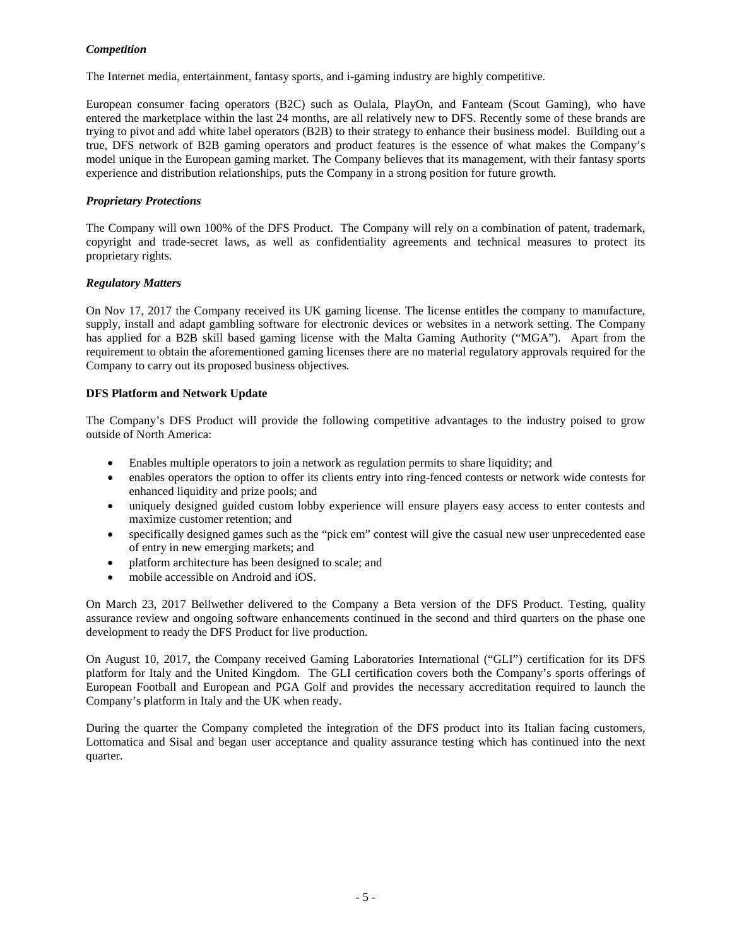## *Competition*

The Internet media, entertainment, fantasy sports, and i-gaming industry are highly competitive.

European consumer facing operators (B2C) such as Oulala, PlayOn, and Fanteam (Scout Gaming), who have entered the marketplace within the last 24 months, are all relatively new to DFS. Recently some of these brands are trying to pivot and add white label operators (B2B) to their strategy to enhance their business model. Building out a true, DFS network of B2B gaming operators and product features is the essence of what makes the Company's model unique in the European gaming market. The Company believes that its management, with their fantasy sports experience and distribution relationships, puts the Company in a strong position for future growth.

## *Proprietary Protections*

The Company will own 100% of the DFS Product. The Company will rely on a combination of patent, trademark, copyright and trade-secret laws, as well as confidentiality agreements and technical measures to protect its proprietary rights.

## *Regulatory Matters*

On Nov 17, 2017 the Company received its UK gaming license. The license entitles the company to manufacture, supply, install and adapt gambling software for electronic devices or websites in a network setting. The Company has applied for a B2B skill based gaming license with the Malta Gaming Authority ("MGA"). Apart from the requirement to obtain the aforementioned gaming licenses there are no material regulatory approvals required for the Company to carry out its proposed business objectives.

## **DFS Platform and Network Update**

The Company's DFS Product will provide the following competitive advantages to the industry poised to grow outside of North America:

- Enables multiple operators to join a network as regulation permits to share liquidity; and
- enables operators the option to offer its clients entry into ring-fenced contests or network wide contests for enhanced liquidity and prize pools; and
- uniquely designed guided custom lobby experience will ensure players easy access to enter contests and maximize customer retention; and
- specifically designed games such as the "pick em" contest will give the casual new user unprecedented ease of entry in new emerging markets; and
- platform architecture has been designed to scale; and
- mobile accessible on Android and iOS.

On March 23, 2017 Bellwether delivered to the Company a Beta version of the DFS Product. Testing, quality assurance review and ongoing software enhancements continued in the second and third quarters on the phase one development to ready the DFS Product for live production.

On August 10, 2017, the Company received Gaming Laboratories International ("GLI") certification for its DFS platform for Italy and the United Kingdom. The GLI certification covers both the Company's sports offerings of European Football and European and PGA Golf and provides the necessary accreditation required to launch the Company's platform in Italy and the UK when ready.

During the quarter the Company completed the integration of the DFS product into its Italian facing customers, Lottomatica and Sisal and began user acceptance and quality assurance testing which has continued into the next quarter.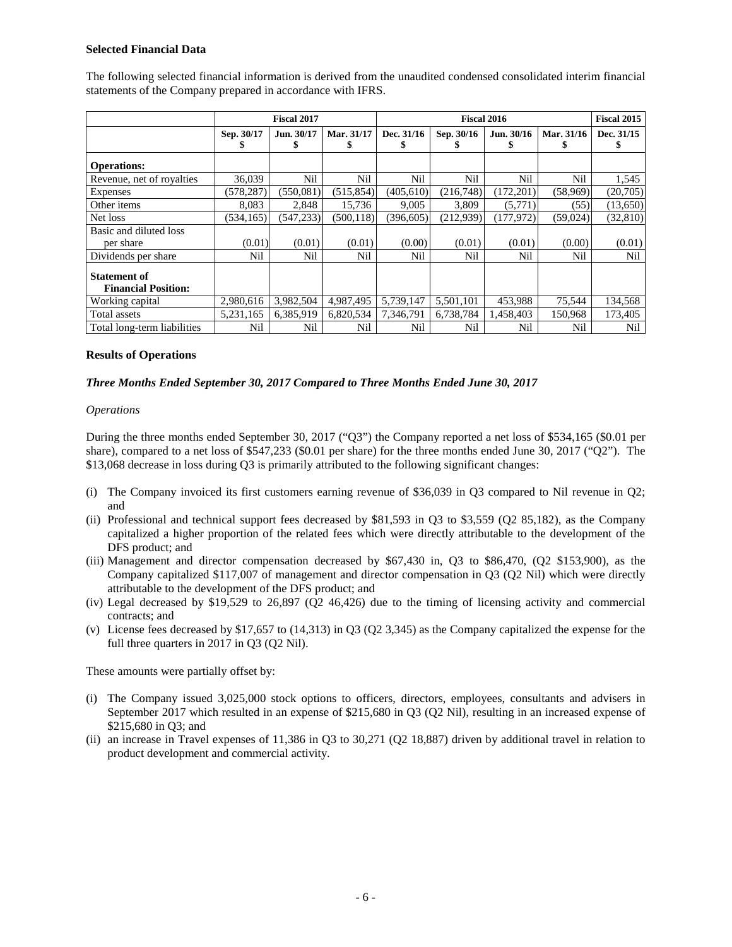#### **Selected Financial Data**

|                                                   | <b>Fiscal 2017</b> |            |            | Fiscal 2016 |            |            |            | <b>Fiscal 2015</b> |
|---------------------------------------------------|--------------------|------------|------------|-------------|------------|------------|------------|--------------------|
|                                                   | Sep. 30/17         | Jun. 30/17 | Mar. 31/17 | Dec. 31/16  | Sep. 30/16 | Jun. 30/16 | Mar. 31/16 | Dec. 31/15         |
|                                                   |                    |            |            | ъ           |            |            |            |                    |
| <b>Operations:</b>                                |                    |            |            |             |            |            |            |                    |
| Revenue, net of royalties                         | 36,039             | Nil        | Nil        | Nil         | Nil        | Nil        | Nil        | 1,545              |
| Expenses                                          | (578, 287)         | (550,081)  | (515, 854) | (405, 610)  | (216,748)  | (172, 201) | (58,969)   | (20,705)           |
| Other items                                       | 8,083              | 2,848      | 15,736     | 9,005       | 3,809      | (5,771)    | (55)       | (13,650)           |
| Net loss                                          | (534.165)          | (547.233)  | (500.118)  | (396.605)   | (212.939)  | (177, 972) | (59, 024)  | (32, 810)          |
| Basic and diluted loss                            |                    |            |            |             |            |            |            |                    |
| per share                                         | (0.01)             | (0.01)     | (0.01)     | (0.00)      | (0.01)     | (0.01)     | (0.00)     | (0.01)             |
| Dividends per share                               | Nil                | Nil        | Nil        | Nil         | Nil        | Nil        | Nil        | Nil                |
| <b>Statement of</b><br><b>Financial Position:</b> |                    |            |            |             |            |            |            |                    |
| Working capital                                   | 2,980,616          | 3,982,504  | 4,987,495  | 5,739,147   | 5,501,101  | 453,988    | 75,544     | 134,568            |
| Total assets                                      | 5,231,165          | 6,385,919  | 6,820,534  | 7,346,791   | 6,738,784  | 1,458,403  | 150,968    | 173,405            |
| Total long-term liabilities                       | Nil                | Nil        | Nil        | Nil         | Nil        | Nil        | Nil        | Nil                |

The following selected financial information is derived from the unaudited condensed consolidated interim financial statements of the Company prepared in accordance with IFRS.

#### **Results of Operations**

#### *Three Months Ended September 30, 2017 Compared to Three Months Ended June 30, 2017*

#### *Operations*

During the three months ended September 30, 2017 ("Q3") the Company reported a net loss of \$534,165 (\$0.01 per share), compared to a net loss of \$547,233 (\$0.01 per share) for the three months ended June 30, 2017 ("Q2"). The \$13,068 decrease in loss during Q3 is primarily attributed to the following significant changes:

- (i) The Company invoiced its first customers earning revenue of \$36,039 in Q3 compared to Nil revenue in Q2; and
- (ii) Professional and technical support fees decreased by \$81,593 in Q3 to \$3,559 (Q2 85,182), as the Company capitalized a higher proportion of the related fees which were directly attributable to the development of the DFS product; and
- (iii) Management and director compensation decreased by \$67,430 in, Q3 to \$86,470, (Q2 \$153,900), as the Company capitalized \$117,007 of management and director compensation in Q3 (Q2 Nil) which were directly attributable to the development of the DFS product; and
- (iv) Legal decreased by \$19,529 to 26,897 (Q2 46,426) due to the timing of licensing activity and commercial contracts; and
- (v) License fees decreased by \$17,657 to (14,313) in Q3 (Q2 3,345) as the Company capitalized the expense for the full three quarters in 2017 in Q3 (Q2 Nil).

These amounts were partially offset by:

- (i) The Company issued 3,025,000 stock options to officers, directors, employees, consultants and advisers in September 2017 which resulted in an expense of \$215,680 in Q3 (Q2 Nil), resulting in an increased expense of \$215,680 in Q3; and
- (ii) an increase in Travel expenses of 11,386 in Q3 to 30,271 (Q2 18,887) driven by additional travel in relation to product development and commercial activity.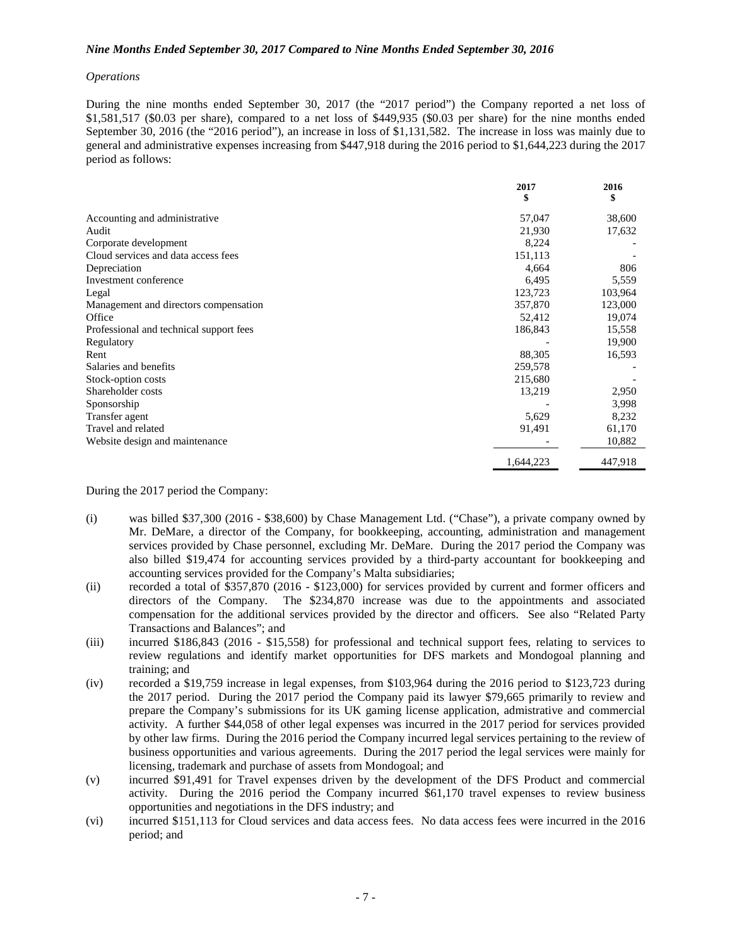#### *Nine Months Ended September 30, 2017 Compared to Nine Months Ended September 30, 2016*

#### *Operations*

During the nine months ended September 30, 2017 (the "2017 period") the Company reported a net loss of \$1,581,517 (\$0.03 per share), compared to a net loss of \$449,935 (\$0.03 per share) for the nine months ended September 30, 2016 (the "2016 period"), an increase in loss of \$1,131,582. The increase in loss was mainly due to general and administrative expenses increasing from \$447,918 during the 2016 period to \$1,644,223 during the 2017 period as follows:

|                                         | 2017      | 2016    |
|-----------------------------------------|-----------|---------|
|                                         | \$        | \$      |
| Accounting and administrative           | 57,047    | 38,600  |
| Audit                                   | 21,930    | 17,632  |
| Corporate development                   | 8,224     |         |
| Cloud services and data access fees     | 151,113   |         |
| Depreciation                            | 4,664     | 806     |
| Investment conference                   | 6,495     | 5,559   |
| Legal                                   | 123,723   | 103,964 |
| Management and directors compensation   | 357,870   | 123,000 |
| Office                                  | 52,412    | 19,074  |
| Professional and technical support fees | 186,843   | 15,558  |
| Regulatory                              |           | 19,900  |
| Rent                                    | 88,305    | 16,593  |
| Salaries and benefits                   | 259,578   |         |
| Stock-option costs                      | 215,680   |         |
| Shareholder costs                       | 13,219    | 2,950   |
| Sponsorship                             |           | 3,998   |
| Transfer agent                          | 5,629     | 8,232   |
| Travel and related                      | 91,491    | 61,170  |
| Website design and maintenance          |           | 10,882  |
|                                         | 1,644,223 | 447,918 |

During the 2017 period the Company:

- (i) was billed \$37,300 (2016 \$38,600) by Chase Management Ltd. ("Chase"), a private company owned by Mr. DeMare, a director of the Company, for bookkeeping, accounting, administration and management services provided by Chase personnel, excluding Mr. DeMare. During the 2017 period the Company was also billed \$19,474 for accounting services provided by a third-party accountant for bookkeeping and accounting services provided for the Company's Malta subsidiaries;
- (ii) recorded a total of \$357,870 (2016 \$123,000) for services provided by current and former officers and directors of the Company. The \$234,870 increase was due to the appointments and associated compensation for the additional services provided by the director and officers. See also "Related Party Transactions and Balances"; and
- (iii) incurred \$186,843 (2016 \$15,558) for professional and technical support fees, relating to services to review regulations and identify market opportunities for DFS markets and Mondogoal planning and training; and
- (iv) recorded a \$19,759 increase in legal expenses, from \$103,964 during the 2016 period to \$123,723 during the 2017 period. During the 2017 period the Company paid its lawyer \$79,665 primarily to review and prepare the Company's submissions for its UK gaming license application, admistrative and commercial activity. A further \$44,058 of other legal expenses was incurred in the 2017 period for services provided by other law firms. During the 2016 period the Company incurred legal services pertaining to the review of business opportunities and various agreements. During the 2017 period the legal services were mainly for licensing, trademark and purchase of assets from Mondogoal; and
- (v) incurred \$91,491 for Travel expenses driven by the development of the DFS Product and commercial activity. During the 2016 period the Company incurred \$61,170 travel expenses to review business opportunities and negotiations in the DFS industry; and
- (vi) incurred \$151,113 for Cloud services and data access fees. No data access fees were incurred in the 2016 period; and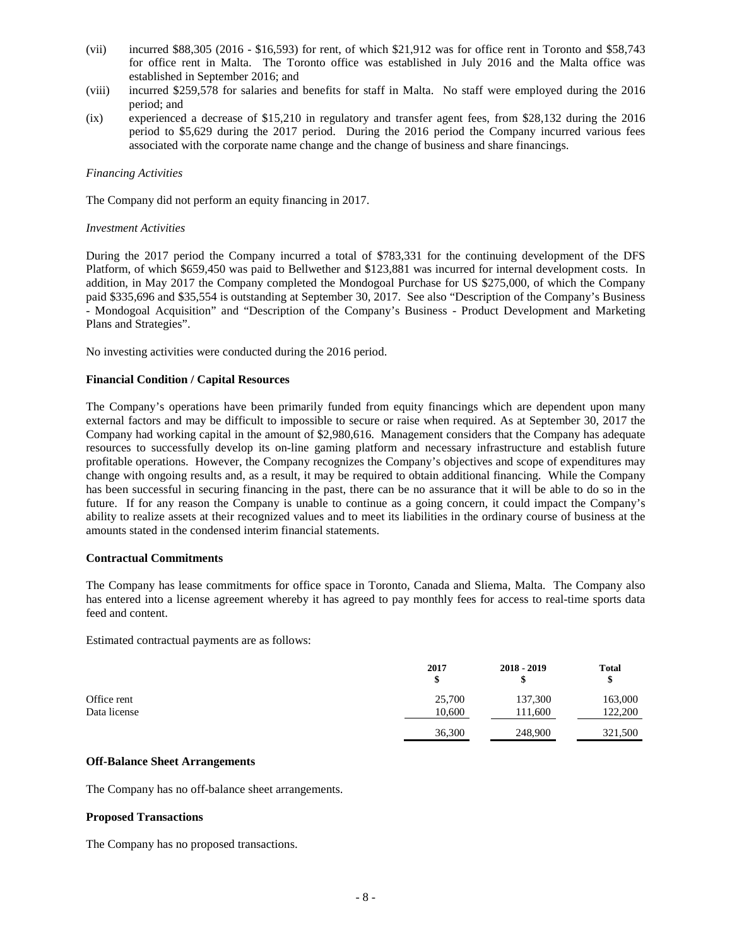- (vii) incurred \$88,305 (2016 \$16,593) for rent, of which \$21,912 was for office rent in Toronto and \$58,743 for office rent in Malta. The Toronto office was established in July 2016 and the Malta office was established in September 2016; and
- (viii) incurred \$259,578 for salaries and benefits for staff in Malta. No staff were employed during the 2016 period; and
- (ix) experienced a decrease of \$15,210 in regulatory and transfer agent fees, from \$28,132 during the 2016 period to \$5,629 during the 2017 period. During the 2016 period the Company incurred various fees associated with the corporate name change and the change of business and share financings.

#### *Financing Activities*

The Company did not perform an equity financing in 2017.

#### *Investment Activities*

During the 2017 period the Company incurred a total of \$783,331 for the continuing development of the DFS Platform, of which \$659,450 was paid to Bellwether and \$123,881 was incurred for internal development costs. In addition, in May 2017 the Company completed the Mondogoal Purchase for US \$275,000, of which the Company paid \$335,696 and \$35,554 is outstanding at September 30, 2017. See also "Description of the Company's Business - Mondogoal Acquisition" and "Description of the Company's Business - Product Development and Marketing Plans and Strategies".

No investing activities were conducted during the 2016 period.

#### **Financial Condition / Capital Resources**

The Company's operations have been primarily funded from equity financings which are dependent upon many external factors and may be difficult to impossible to secure or raise when required. As at September 30, 2017 the Company had working capital in the amount of \$2,980,616. Management considers that the Company has adequate resources to successfully develop its on-line gaming platform and necessary infrastructure and establish future profitable operations. However, the Company recognizes the Company's objectives and scope of expenditures may change with ongoing results and, as a result, it may be required to obtain additional financing. While the Company has been successful in securing financing in the past, there can be no assurance that it will be able to do so in the future. If for any reason the Company is unable to continue as a going concern, it could impact the Company's ability to realize assets at their recognized values and to meet its liabilities in the ordinary course of business at the amounts stated in the condensed interim financial statements.

#### **Contractual Commitments**

The Company has lease commitments for office space in Toronto, Canada and Sliema, Malta. The Company also has entered into a license agreement whereby it has agreed to pay monthly fees for access to real-time sports data feed and content.

Estimated contractual payments are as follows:

|              | 2017   | $2018 - 2019$ | <b>Total</b><br>\$ |
|--------------|--------|---------------|--------------------|
| Office rent  | 25,700 | 137,300       | 163,000            |
| Data license | 10.600 | 111.600       | 122,200            |
|              | 36,300 | 248,900       | 321,500            |

#### **Off-Balance Sheet Arrangements**

The Company has no off-balance sheet arrangements.

#### **Proposed Transactions**

The Company has no proposed transactions.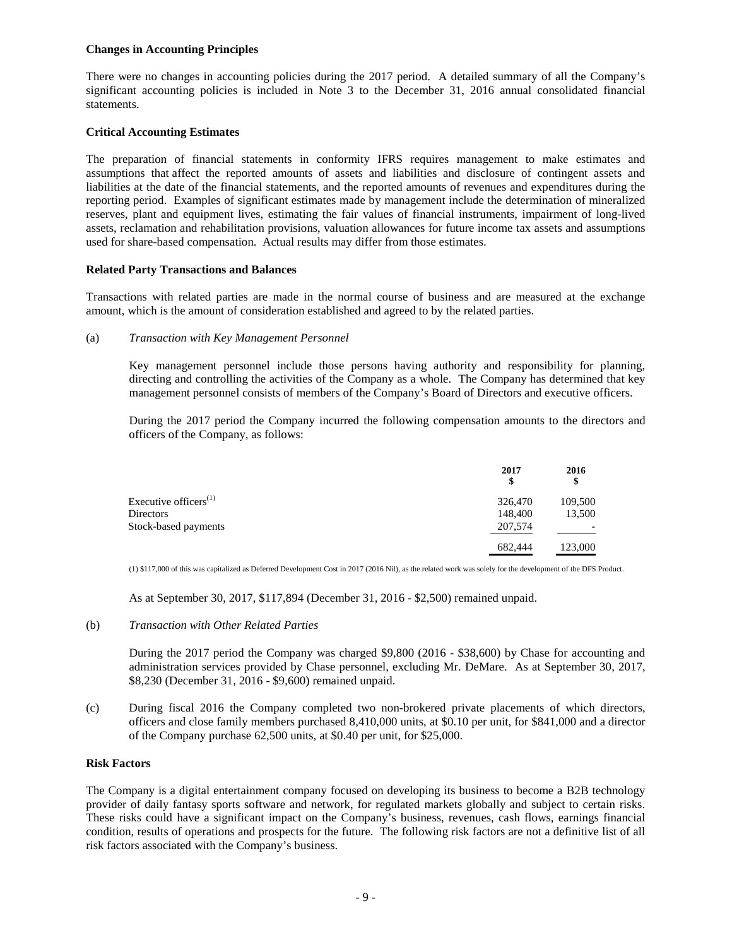#### **Changes in Accounting Principles**

There were no changes in accounting policies during the 2017 period. A detailed summary of all the Company's significant accounting policies is included in Note 3 to the December 31, 2016 annual consolidated financial statements.

#### **Critical Accounting Estimates**

The preparation of financial statements in conformity IFRS requires management to make estimates and assumptions that affect the reported amounts of assets and liabilities and disclosure of contingent assets and liabilities at the date of the financial statements, and the reported amounts of revenues and expenditures during the reporting period. Examples of significant estimates made by management include the determination of mineralized reserves, plant and equipment lives, estimating the fair values of financial instruments, impairment of long-lived assets, reclamation and rehabilitation provisions, valuation allowances for future income tax assets and assumptions used for share-based compensation. Actual results may differ from those estimates.

#### **Related Party Transactions and Balances**

Transactions with related parties are made in the normal course of business and are measured at the exchange amount, which is the amount of consideration established and agreed to by the related parties.

#### (a) *Transaction with Key Management Personnel*

Key management personnel include those persons having authority and responsibility for planning, directing and controlling the activities of the Company as a whole. The Company has determined that key management personnel consists of members of the Company's Board of Directors and executive officers.

During the 2017 period the Company incurred the following compensation amounts to the directors and officers of the Company, as follows:

|                          | 2017<br>\$ | 2016<br>\$ |
|--------------------------|------------|------------|
| Executive officers $(1)$ | 326,470    | 109,500    |
| Directors                | 148,400    | 13,500     |
| Stock-based payments     | 207,574    |            |
|                          | 682,444    | 123,000    |

(1) \$117,000 of this was capitalized as Deferred Development Cost in 2017 (2016 Nil), as the related work was solely for the development of the DFS Product.

As at September 30, 2017, \$117,894 (December 31, 2016 - \$2,500) remained unpaid.

## (b) *Transaction with Other Related Parties*

During the 2017 period the Company was charged \$9,800 (2016 - \$38,600) by Chase for accounting and administration services provided by Chase personnel, excluding Mr. DeMare. As at September 30, 2017, \$8,230 (December 31, 2016 - \$9,600) remained unpaid.

(c) During fiscal 2016 the Company completed two non-brokered private placements of which directors, officers and close family members purchased 8,410,000 units, at \$0.10 per unit, for \$841,000 and a director of the Company purchase 62,500 units, at \$0.40 per unit, for \$25,000.

#### **Risk Factors**

The Company is a digital entertainment company focused on developing its business to become a B2B technology provider of daily fantasy sports software and network, for regulated markets globally and subject to certain risks. These risks could have a significant impact on the Company's business, revenues, cash flows, earnings financial condition, results of operations and prospects for the future. The following risk factors are not a definitive list of all risk factors associated with the Company's business.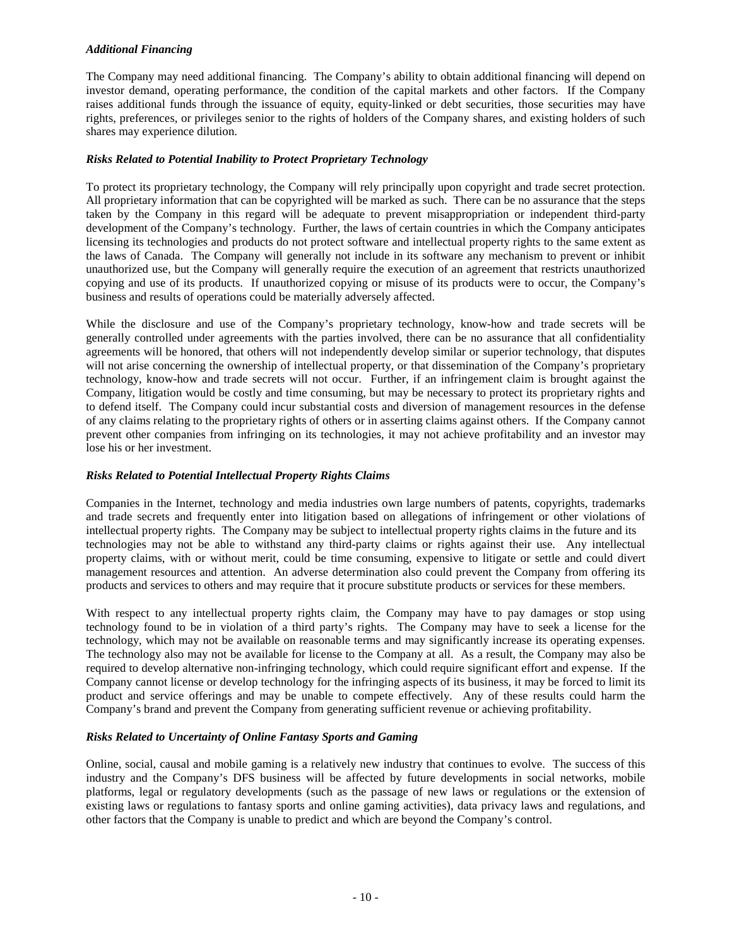## *Additional Financing*

The Company may need additional financing. The Company's ability to obtain additional financing will depend on investor demand, operating performance, the condition of the capital markets and other factors. If the Company raises additional funds through the issuance of equity, equity-linked or debt securities, those securities may have rights, preferences, or privileges senior to the rights of holders of the Company shares, and existing holders of such shares may experience dilution.

#### *Risks Related to Potential Inability to Protect Proprietary Technology*

To protect its proprietary technology, the Company will rely principally upon copyright and trade secret protection. All proprietary information that can be copyrighted will be marked as such. There can be no assurance that the steps taken by the Company in this regard will be adequate to prevent misappropriation or independent third-party development of the Company's technology. Further, the laws of certain countries in which the Company anticipates licensing its technologies and products do not protect software and intellectual property rights to the same extent as the laws of Canada. The Company will generally not include in its software any mechanism to prevent or inhibit unauthorized use, but the Company will generally require the execution of an agreement that restricts unauthorized copying and use of its products. If unauthorized copying or misuse of its products were to occur, the Company's business and results of operations could be materially adversely affected.

While the disclosure and use of the Company's proprietary technology, know-how and trade secrets will be generally controlled under agreements with the parties involved, there can be no assurance that all confidentiality agreements will be honored, that others will not independently develop similar or superior technology, that disputes will not arise concerning the ownership of intellectual property, or that dissemination of the Company's proprietary technology, know-how and trade secrets will not occur. Further, if an infringement claim is brought against the Company, litigation would be costly and time consuming, but may be necessary to protect its proprietary rights and to defend itself. The Company could incur substantial costs and diversion of management resources in the defense of any claims relating to the proprietary rights of others or in asserting claims against others. If the Company cannot prevent other companies from infringing on its technologies, it may not achieve profitability and an investor may lose his or her investment.

#### *Risks Related to Potential Intellectual Property Rights Claims*

Companies in the Internet, technology and media industries own large numbers of patents, copyrights, trademarks and trade secrets and frequently enter into litigation based on allegations of infringement or other violations of intellectual property rights. The Company may be subject to intellectual property rights claims in the future and its technologies may not be able to withstand any third-party claims or rights against their use. Any intellectual property claims, with or without merit, could be time consuming, expensive to litigate or settle and could divert management resources and attention. An adverse determination also could prevent the Company from offering its products and services to others and may require that it procure substitute products or services for these members.

With respect to any intellectual property rights claim, the Company may have to pay damages or stop using technology found to be in violation of a third party's rights. The Company may have to seek a license for the technology, which may not be available on reasonable terms and may significantly increase its operating expenses. The technology also may not be available for license to the Company at all. As a result, the Company may also be required to develop alternative non-infringing technology, which could require significant effort and expense. If the Company cannot license or develop technology for the infringing aspects of its business, it may be forced to limit its product and service offerings and may be unable to compete effectively. Any of these results could harm the Company's brand and prevent the Company from generating sufficient revenue or achieving profitability.

## *Risks Related to Uncertainty of Online Fantasy Sports and Gaming*

Online, social, causal and mobile gaming is a relatively new industry that continues to evolve. The success of this industry and the Company's DFS business will be affected by future developments in social networks, mobile platforms, legal or regulatory developments (such as the passage of new laws or regulations or the extension of existing laws or regulations to fantasy sports and online gaming activities), data privacy laws and regulations, and other factors that the Company is unable to predict and which are beyond the Company's control.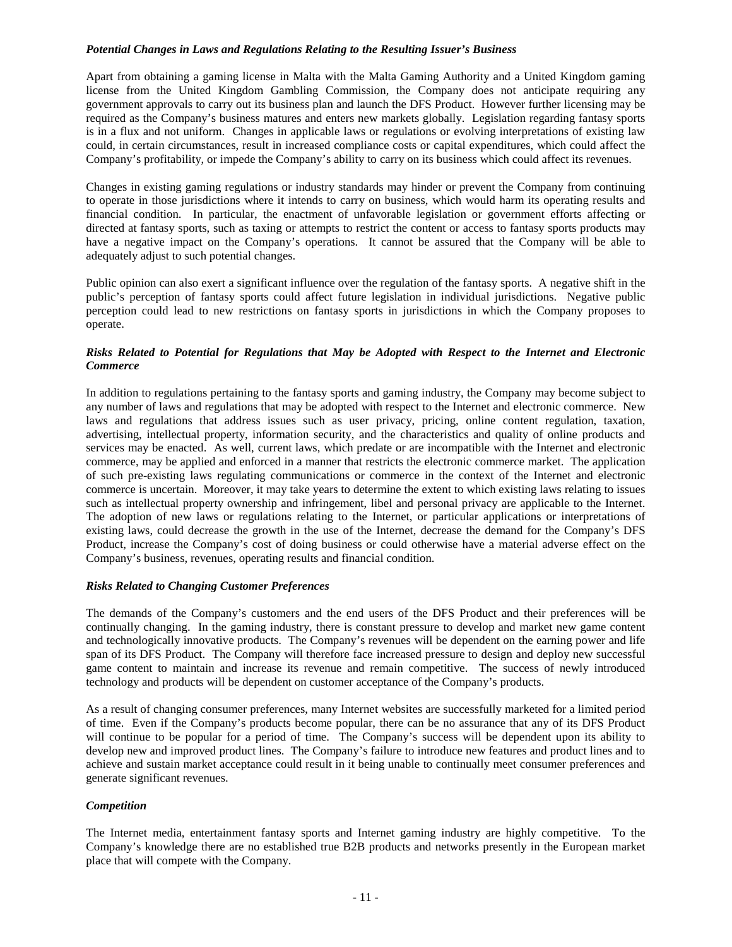#### *Potential Changes in Laws and Regulations Relating to the Resulting Issuer's Business*

Apart from obtaining a gaming license in Malta with the Malta Gaming Authority and a United Kingdom gaming license from the United Kingdom Gambling Commission, the Company does not anticipate requiring any government approvals to carry out its business plan and launch the DFS Product. However further licensing may be required as the Company's business matures and enters new markets globally. Legislation regarding fantasy sports is in a flux and not uniform. Changes in applicable laws or regulations or evolving interpretations of existing law could, in certain circumstances, result in increased compliance costs or capital expenditures, which could affect the Company's profitability, or impede the Company's ability to carry on its business which could affect its revenues.

Changes in existing gaming regulations or industry standards may hinder or prevent the Company from continuing to operate in those jurisdictions where it intends to carry on business, which would harm its operating results and financial condition. In particular, the enactment of unfavorable legislation or government efforts affecting or directed at fantasy sports, such as taxing or attempts to restrict the content or access to fantasy sports products may have a negative impact on the Company's operations. It cannot be assured that the Company will be able to adequately adjust to such potential changes.

Public opinion can also exert a significant influence over the regulation of the fantasy sports. A negative shift in the public's perception of fantasy sports could affect future legislation in individual jurisdictions. Negative public perception could lead to new restrictions on fantasy sports in jurisdictions in which the Company proposes to operate.

#### *Risks Related to Potential for Regulations that May be Adopted with Respect to the Internet and Electronic Commerce*

In addition to regulations pertaining to the fantasy sports and gaming industry, the Company may become subject to any number of laws and regulations that may be adopted with respect to the Internet and electronic commerce. New laws and regulations that address issues such as user privacy, pricing, online content regulation, taxation, advertising, intellectual property, information security, and the characteristics and quality of online products and services may be enacted. As well, current laws, which predate or are incompatible with the Internet and electronic commerce, may be applied and enforced in a manner that restricts the electronic commerce market. The application of such pre-existing laws regulating communications or commerce in the context of the Internet and electronic commerce is uncertain. Moreover, it may take years to determine the extent to which existing laws relating to issues such as intellectual property ownership and infringement, libel and personal privacy are applicable to the Internet. The adoption of new laws or regulations relating to the Internet, or particular applications or interpretations of existing laws, could decrease the growth in the use of the Internet, decrease the demand for the Company's DFS Product, increase the Company's cost of doing business or could otherwise have a material adverse effect on the Company's business, revenues, operating results and financial condition.

## *Risks Related to Changing Customer Preferences*

The demands of the Company's customers and the end users of the DFS Product and their preferences will be continually changing. In the gaming industry, there is constant pressure to develop and market new game content and technologically innovative products. The Company's revenues will be dependent on the earning power and life span of its DFS Product. The Company will therefore face increased pressure to design and deploy new successful game content to maintain and increase its revenue and remain competitive. The success of newly introduced technology and products will be dependent on customer acceptance of the Company's products.

As a result of changing consumer preferences, many Internet websites are successfully marketed for a limited period of time. Even if the Company's products become popular, there can be no assurance that any of its DFS Product will continue to be popular for a period of time. The Company's success will be dependent upon its ability to develop new and improved product lines. The Company's failure to introduce new features and product lines and to achieve and sustain market acceptance could result in it being unable to continually meet consumer preferences and generate significant revenues.

## *Competition*

The Internet media, entertainment fantasy sports and Internet gaming industry are highly competitive. To the Company's knowledge there are no established true B2B products and networks presently in the European market place that will compete with the Company.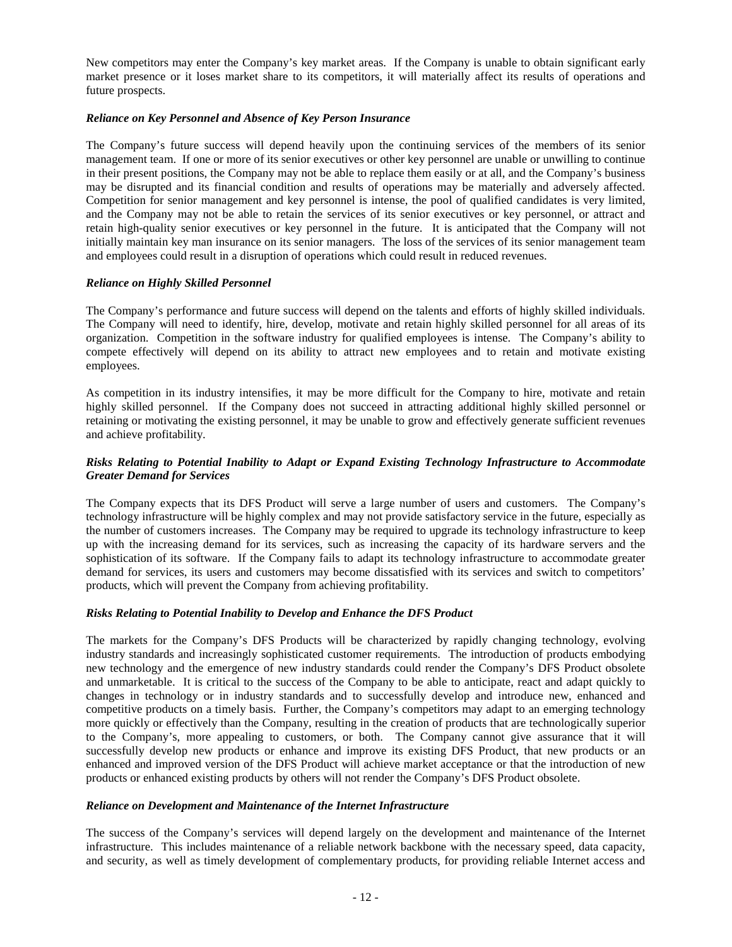New competitors may enter the Company's key market areas. If the Company is unable to obtain significant early market presence or it loses market share to its competitors, it will materially affect its results of operations and future prospects.

#### *Reliance on Key Personnel and Absence of Key Person Insurance*

The Company's future success will depend heavily upon the continuing services of the members of its senior management team. If one or more of its senior executives or other key personnel are unable or unwilling to continue in their present positions, the Company may not be able to replace them easily or at all, and the Company's business may be disrupted and its financial condition and results of operations may be materially and adversely affected. Competition for senior management and key personnel is intense, the pool of qualified candidates is very limited, and the Company may not be able to retain the services of its senior executives or key personnel, or attract and retain high-quality senior executives or key personnel in the future. It is anticipated that the Company will not initially maintain key man insurance on its senior managers. The loss of the services of its senior management team and employees could result in a disruption of operations which could result in reduced revenues.

#### *Reliance on Highly Skilled Personnel*

The Company's performance and future success will depend on the talents and efforts of highly skilled individuals. The Company will need to identify, hire, develop, motivate and retain highly skilled personnel for all areas of its organization. Competition in the software industry for qualified employees is intense. The Company's ability to compete effectively will depend on its ability to attract new employees and to retain and motivate existing employees.

As competition in its industry intensifies, it may be more difficult for the Company to hire, motivate and retain highly skilled personnel. If the Company does not succeed in attracting additional highly skilled personnel or retaining or motivating the existing personnel, it may be unable to grow and effectively generate sufficient revenues and achieve profitability.

#### *Risks Relating to Potential Inability to Adapt or Expand Existing Technology Infrastructure to Accommodate Greater Demand for Services*

The Company expects that its DFS Product will serve a large number of users and customers. The Company's technology infrastructure will be highly complex and may not provide satisfactory service in the future, especially as the number of customers increases. The Company may be required to upgrade its technology infrastructure to keep up with the increasing demand for its services, such as increasing the capacity of its hardware servers and the sophistication of its software. If the Company fails to adapt its technology infrastructure to accommodate greater demand for services, its users and customers may become dissatisfied with its services and switch to competitors' products, which will prevent the Company from achieving profitability.

#### *Risks Relating to Potential Inability to Develop and Enhance the DFS Product*

The markets for the Company's DFS Products will be characterized by rapidly changing technology, evolving industry standards and increasingly sophisticated customer requirements. The introduction of products embodying new technology and the emergence of new industry standards could render the Company's DFS Product obsolete and unmarketable. It is critical to the success of the Company to be able to anticipate, react and adapt quickly to changes in technology or in industry standards and to successfully develop and introduce new, enhanced and competitive products on a timely basis. Further, the Company's competitors may adapt to an emerging technology more quickly or effectively than the Company, resulting in the creation of products that are technologically superior to the Company's, more appealing to customers, or both. The Company cannot give assurance that it will successfully develop new products or enhance and improve its existing DFS Product, that new products or an enhanced and improved version of the DFS Product will achieve market acceptance or that the introduction of new products or enhanced existing products by others will not render the Company's DFS Product obsolete.

#### *Reliance on Development and Maintenance of the Internet Infrastructure*

The success of the Company's services will depend largely on the development and maintenance of the Internet infrastructure. This includes maintenance of a reliable network backbone with the necessary speed, data capacity, and security, as well as timely development of complementary products, for providing reliable Internet access and